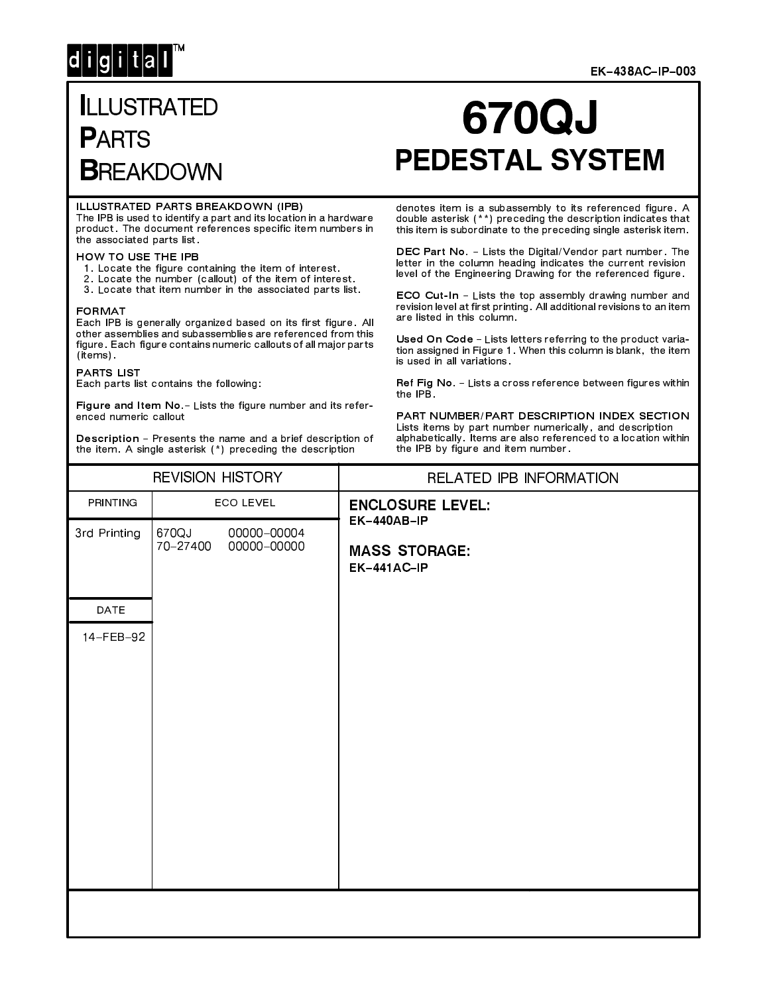## $d[i|g[i]|t|a]$

#### **EK-438AC-IP-003**

### **ILLUSTRATED PARTS BREAKDOWN**

# **670QJ PEDESTAL SYSTEM**

#### ILLUSTRATED PARTS BREAKDOWN (IPB)

The IPB is used to identify a part and its location in a hardware product. The document references specific item numbers in the associated parts list.

#### HOW TO USE THE IPB

- 
- 1. Locate the figure containing the item of interest.<br>2. Locate the number (callout) of the item of interest.
- 3. Locate that item number in the associated parts list.

#### **FORMAT**

Each IPB is generally organized based on its first figure. All other assemblies and subassemblies are referenced from this figure. Each figure contains numeric callouts of all major parts (items).

**PARTS LIST** 

Each parts list contains the following:

Figure and Item No. - Lists the figure number and its referenced numeric callout

Description - Presents the name and a brief description of the item. A single asterisk (\*) preceding the description

#### denotes item is a subassembly to its referenced figure. A double asterisk (\*\*) preceding the description indicates that this item is subordinate to the preceding single asterisk item.

DEC Part No. - Lists the Digital/Vendor part number. The letter in the column heading indicates the current revision level of the Engineering Drawing for the referenced figure.

ECO Cut-In - Lists the top assembly drawing number and revision level at first printing. All additional revisions to an item are listed in this column.

Used On Code - Lists letters referring to the product variation assigned in Figure 1. When this column is blank, the item is used in all variations.

Ref Fig No. - Lists a cross reference between figures within the IPB.

PART NUMBER/PART DESCRIPTION INDEX SECTION Lists items by part number numerically, and description alphabetically. Items are also referenced to a location within the IPB by figure and item number.

| <b>REVISION HISTORY</b> |                                                 | RELATED IPB INFORMATION                            |  |
|-------------------------|-------------------------------------------------|----------------------------------------------------|--|
| PRINTING                | <b>ECO LEVEL</b>                                | <b>ENCLOSURE LEVEL:</b>                            |  |
| 3rd Printing            | 670QJ<br>00000-00004<br>70-27400<br>00000-00000 | EK-440AB-IP<br><b>MASS STORAGE:</b><br>EK-441AC-IP |  |
| DATE                    |                                                 |                                                    |  |
| 14-FEB-92               |                                                 |                                                    |  |
|                         |                                                 |                                                    |  |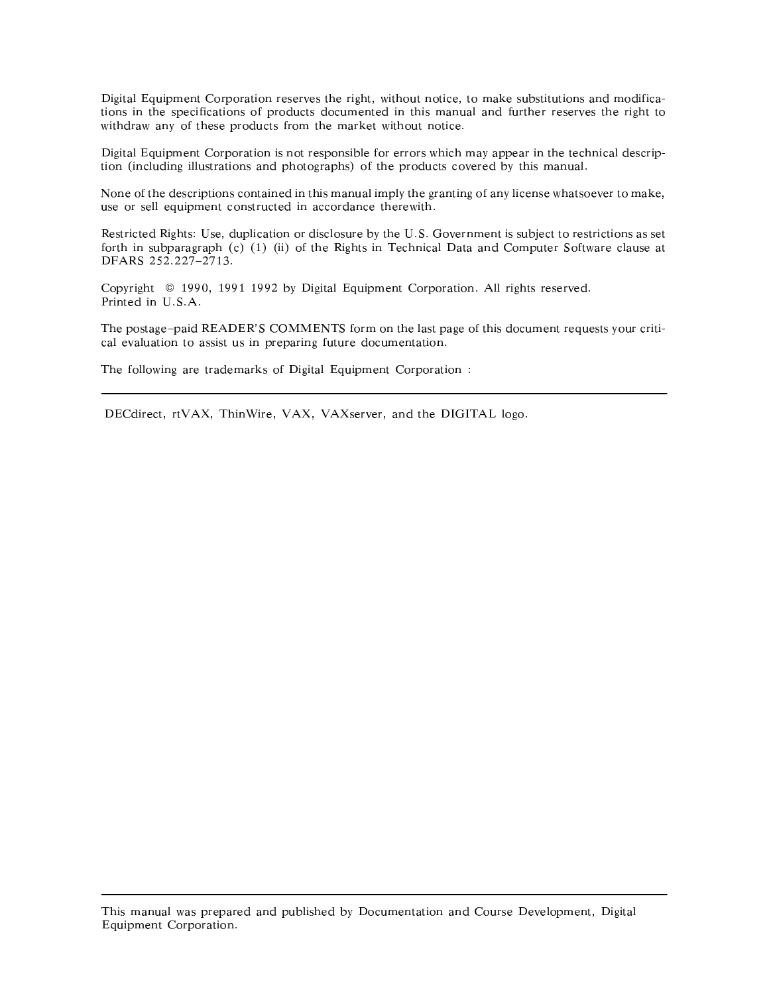Digital Equipment Corporation reserves the right, without notice, to make substitutions and modifications in the specifications of products documented in this manual and further reserves the right to withdraw any of these products from the market without notice.

Digital Equipment Corporation is not responsible for errors which may appear in the technical description (including illustrations and photographs) of the products covered by this manual.

None of the descriptions contained in this manual imply the granting of any license whatsoever to make, use or sell equipment constructed in accordance therewith.

Restricted Rights: Use, duplication or disclosure by the U.S. Government is subject to restrictions as set forth in subparagraph (c) (1) (ii) of the Rights in Technical Data and Computer Software clause at DFARS 252.227-2713.

Copyright © 1990, 1991 1992 by Digital Equipment Corporation. All rights reserved. Printed in U.S.A.

The postage-paid READER'S COMMENTS form on the last page of this document requests your critical evaluation to assist us in preparing future documentation.

The following are trademarks of Digital Equipment Corporation :

DECdirect, rtVAX, ThinWire, VAX, VAXserver, and the DIGITAL logo.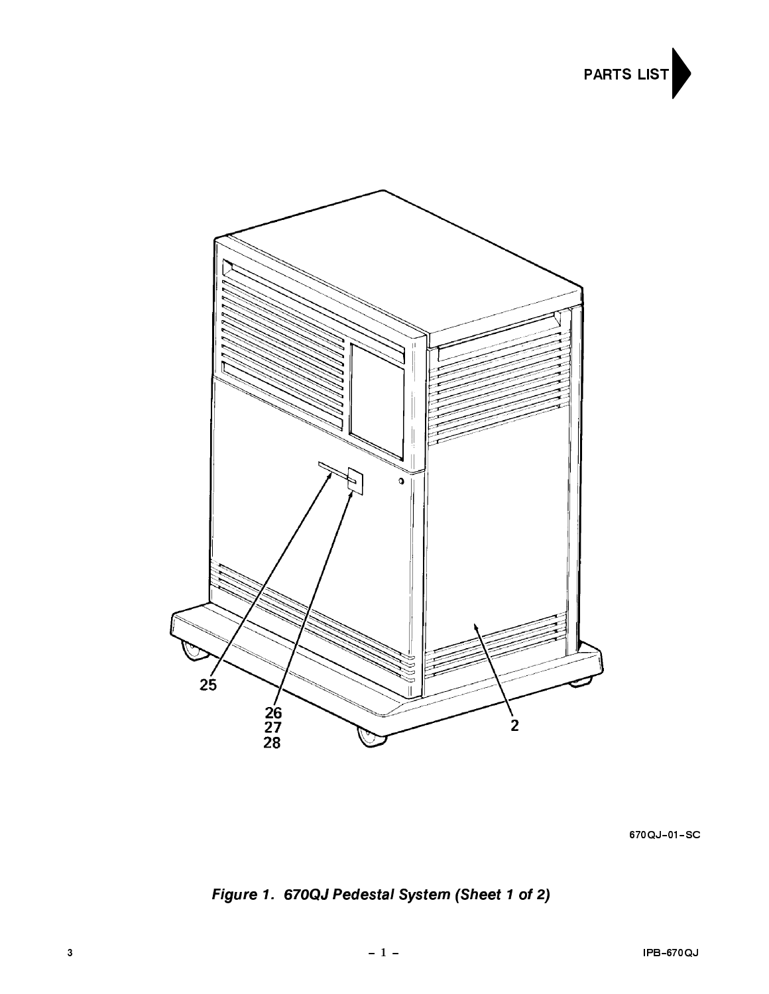



670QJ-01-SC

Figure 1. 670QJ Pedestal System (Sheet 1 of 2)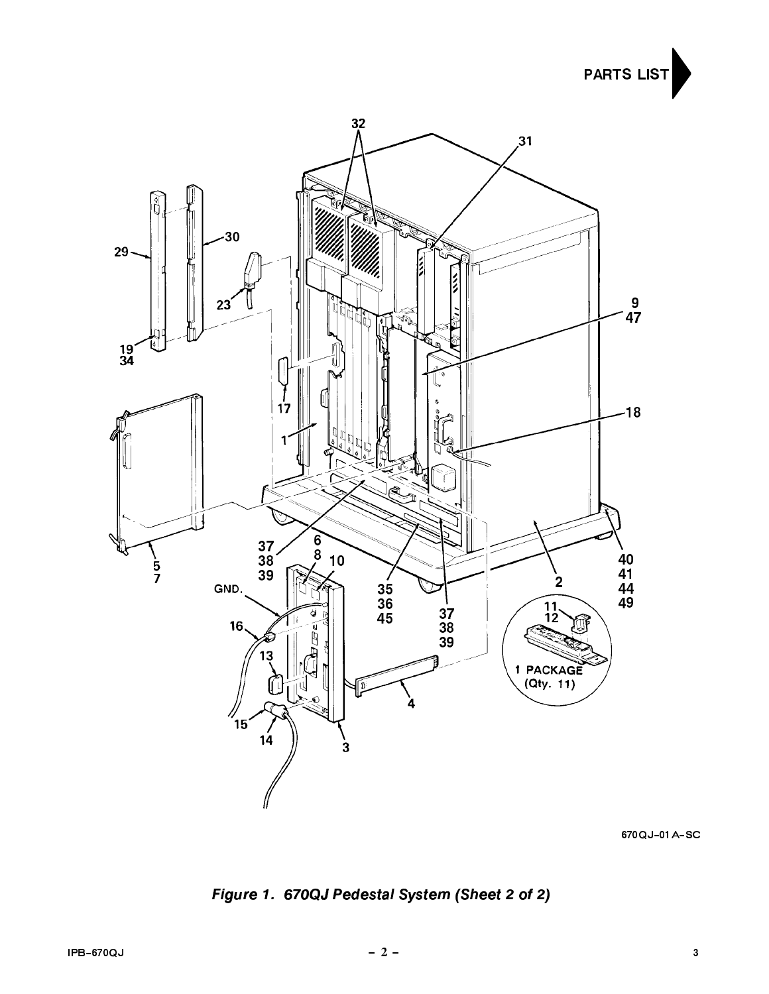**PARTS LIST** 



670QJ-01A-SC

Figure 1. 670QJ Pedestal System (Sheet 2 of 2)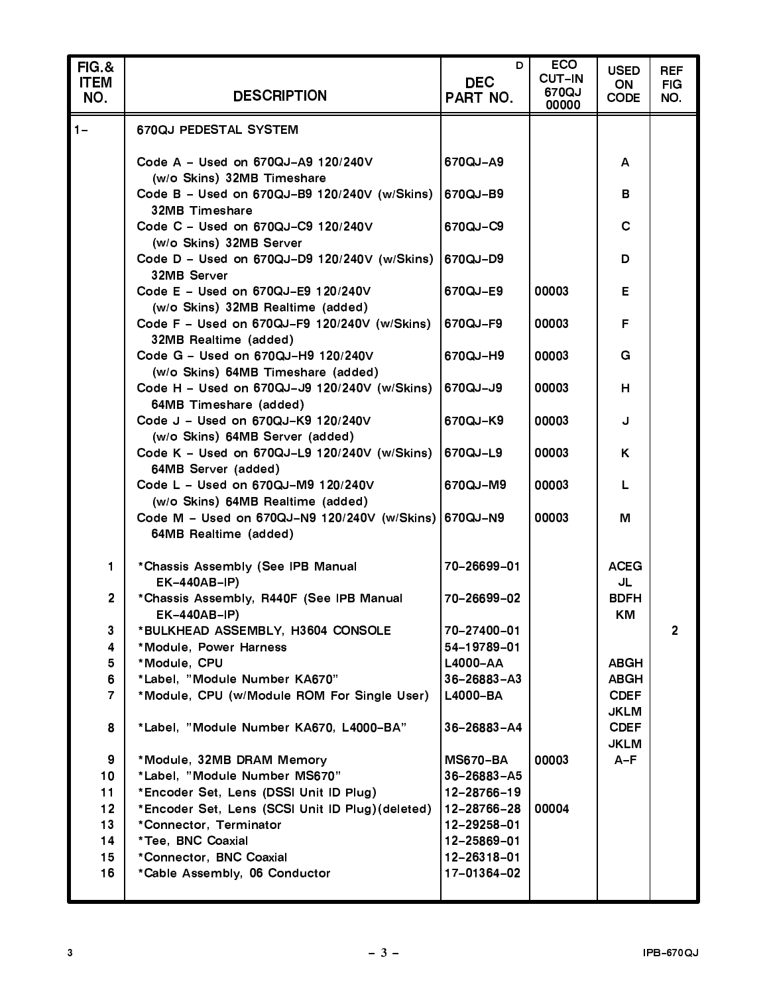| <b>FIG.&amp;</b><br><b>ITEM</b><br>NO. | <b>DESCRIPTION</b>                                                                 | D<br><b>DEC</b><br>PART NO. | <b>ECO</b><br><b>CUT-IN</b><br>670QJ<br>00000 | <b>USED</b><br>ON<br><b>CODE</b> | <b>REF</b><br><b>FIG</b><br>NO. |
|----------------------------------------|------------------------------------------------------------------------------------|-----------------------------|-----------------------------------------------|----------------------------------|---------------------------------|
| $1 -$                                  | 670QJ PEDESTAL SYSTEM                                                              |                             |                                               |                                  |                                 |
|                                        | Code A - Used on 670QJ-A9 120/240V                                                 | 670QJ-A9                    |                                               | А                                |                                 |
|                                        | (w/o Skins) 32MB Timeshare<br>Code B - Used on 670QJ-B9 120/240V (w/Skins)         | 670QJ-B9                    |                                               | в                                |                                 |
|                                        | 32MB Timeshare<br>Code C - Used on 670QJ-C9 120/240V                               | 670QJ-C9                    |                                               | $\mathbf C$                      |                                 |
|                                        | (w/o Skins) 32MB Server                                                            |                             |                                               |                                  |                                 |
|                                        | Code D - Used on 670QJ-D9 120/240V (w/Skins)<br>32MB Server                        | 670QJ-D9                    |                                               | D                                |                                 |
|                                        | Code E - Used on 670QJ-E9 120/240V<br>(w/o Skins) 32MB Realtime (added)            | 670QJ-E9                    | 00003                                         | E                                |                                 |
|                                        | Code F - Used on 670QJ-F9 120/240V (w/Skins)<br>32MB Realtime (added)              | 670QJ-F9                    | 00003                                         | F                                |                                 |
|                                        | Code G - Used on 670QJ-H9 120/240V                                                 | 670QJ-H9                    | 00003                                         | G                                |                                 |
|                                        | (w/o Skins) 64MB Timeshare (added)<br>Code H - Used on 670QJ-J9 120/240V (w/Skins) | 670QJ-J9                    | 00003                                         | H                                |                                 |
|                                        | 64MB Timeshare (added)<br>Code J - Used on 670QJ-K9 120/240V                       | 670QJ-K9                    | 00003                                         | J                                |                                 |
|                                        | (w/o Skins) 64MB Server (added)<br>Code K - Used on 670QJ-L9 120/240V (w/Skins)    | 670QJ-L9                    | 00003                                         | Κ                                |                                 |
|                                        | 64MB Server (added)<br>Code L - Used on 670QJ-M9 120/240V                          | 670QJ-M9                    | 00003                                         | L                                |                                 |
|                                        | (w/o Skins) 64MB Realtime (added)<br>Code M - Used on 670QJ-N9 120/240V (w/Skins)  | 670QJ-N9                    | 00003                                         | M                                |                                 |
|                                        | 64MB Realtime (added)                                                              |                             |                                               |                                  |                                 |
| 1.                                     | *Chassis Assembly (See IPB Manual<br><b>EK-440AB-IP)</b>                           | 70-26699-01                 |                                               | <b>ACEG</b><br>JL                |                                 |
| $\overline{2}$                         | *Chassis Assembly, R440F (See IPB Manual<br><b>EK-440AB-IP)</b>                    | 70-26699-02                 |                                               | <b>BDFH</b><br>ΚM                |                                 |
| 3                                      | *BULKHEAD ASSEMBLY, H3604 CONSOLE                                                  | 70-27400-01                 |                                               |                                  | $\overline{2}$                  |
| 4                                      | *Module, Power Harness                                                             | 54-19789-01                 |                                               |                                  |                                 |
| 5                                      | *Module, CPU                                                                       | L4000-AA                    |                                               | <b>ABGH</b>                      |                                 |
| 6                                      | *Label, "Module Number KA670"                                                      | $36 - 26883 - A3$           |                                               | ABGH                             |                                 |
| $\overline{7}$                         | *Module, CPU (w/Module ROM For Single User)                                        | L4000-BA                    |                                               | <b>CDEF</b>                      |                                 |
|                                        |                                                                                    |                             |                                               | <b>JKLM</b>                      |                                 |
| 8                                      | *Label, "Module Number KA670, L4000-BA"                                            | $36 - 26883 - A4$           |                                               | <b>CDEF</b>                      |                                 |
|                                        |                                                                                    |                             |                                               | <b>JKLM</b>                      |                                 |
| 9                                      | *Module, 32MB DRAM Memory                                                          | <b>MS670-BA</b>             | 00003                                         | $A-F$                            |                                 |
| 10 <sub>1</sub>                        | *Label, "Module Number MS670"                                                      | $36 - 26883 - A5$           |                                               |                                  |                                 |
| 11                                     | *Encoder Set, Lens (DSSI Unit ID Plug)                                             | 12-28766-19                 |                                               |                                  |                                 |
| 12 <sub>2</sub>                        | *Encoder Set, Lens (SCSI Unit ID Plug) (deleted)                                   | 12-28766-28                 | 00004                                         |                                  |                                 |
| 13                                     | *Connector, Terminator                                                             | 12-29258-01                 |                                               |                                  |                                 |
| 14                                     | *Tee, BNC Coaxial                                                                  | 12-25869-01                 |                                               |                                  |                                 |
| 15 <sub>1</sub>                        | *Connector, BNC Coaxial                                                            | 12-26318-01                 |                                               |                                  |                                 |
| 16                                     | *Cable Assembly, 06 Conductor                                                      | 17-01364-02                 |                                               |                                  |                                 |
|                                        |                                                                                    |                             |                                               |                                  |                                 |